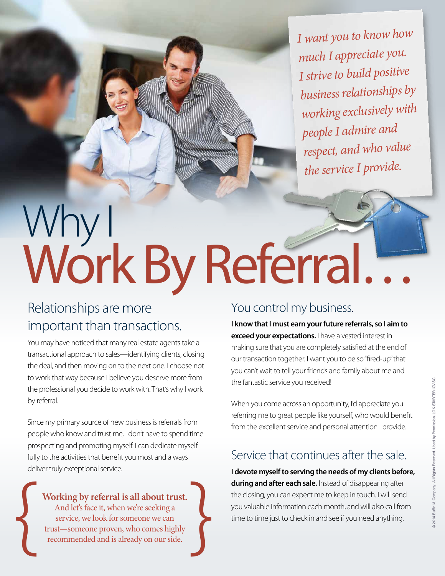*I want you to know how much I appreciate you. I strive to build positive business relationships by working exclusively with people I admire an<sup>d</sup> respect, and who value the service I provide.*

# Why I Work By Referral...

#### Relationships are more important than transactions.

You may have noticed that many real estate agents take a transactional approach to sales—identifying clients, closing the deal, and then moving on to the next one. I choose not to work that way because I believe you deserve more from the professional you decide to work with. That's why I work by referral.

Since my primary source of new business is referrals from people who know and trust me, I don't have to spend time prospecting and promoting myself. I can dedicate myself fully to the activities that benefit you most and always deliver truly exceptional service.

#### You control my business.

**I know that I must earn your future referrals, so I aim to exceed your expectations.** I have a vested interest in making sure that you are completely satisfied at the end of our transaction together. I want you to be so "fired-up" that you can't wait to tell your friends and family about me and the fantastic service you received!

When you come across an opportunity, I'd appreciate you referring me to great people like yourself, who would benefit from the excellent service and personal attention I provide.

#### Service that continues after the sale.

**I devote myself to serving the needs of my clients before, during and after each sale.** Instead of disappearing after the closing, you can expect me to keep in touch. I will send you valuable information each month, and will also call from time to time just to check in and see if you need anything.

**Working by referral is all about trust.**

And let's face it, when we're seeking a service, we look for someone we can Working by referral is all about trust.<br>And let's face it, when we're seeking a<br>service, we look for someone we can<br>trust—someone proven, who comes highly<br>recommended and is already on our side.